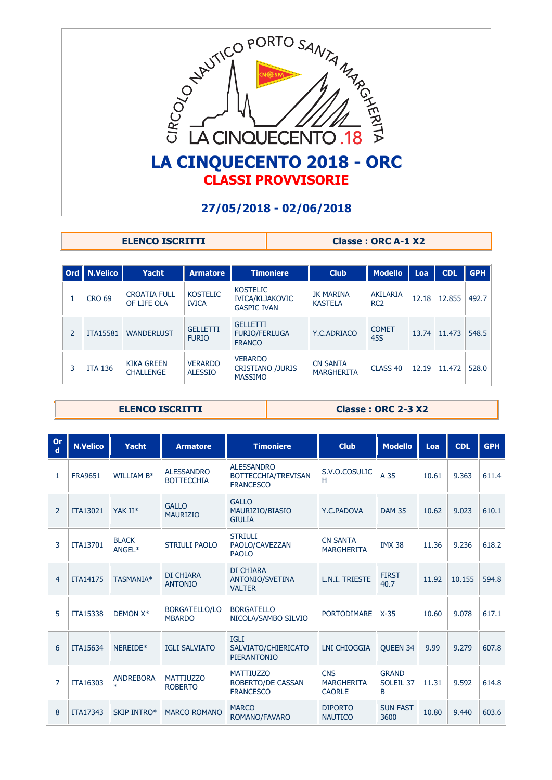

**ELENCO ISCRITTI** Classe : ORC A-1 X2

| Ord            | N.Velico        | Yacht                                 | <b>Armatore</b>                  | <b>Timoniere</b>                                                | <b>Club</b>                          | Modello                     | Loa   | <b>CDL</b> | <b>GPH</b> |
|----------------|-----------------|---------------------------------------|----------------------------------|-----------------------------------------------------------------|--------------------------------------|-----------------------------|-------|------------|------------|
|                | <b>CRO 69</b>   | <b>CROATIA FULL</b><br>OF LIFE OLA    | <b>KOSTELIC</b><br><b>IVICA</b>  | <b>KOSTELIC</b><br><b>IVICA/KLJAKOVIC</b><br><b>GASPIC IVAN</b> | JK MARINA<br><b>KASTELA</b>          | AKILARIA<br>RC <sub>2</sub> | 12.18 | 12.855     | 492.7      |
| $\overline{2}$ | <b>ITA15581</b> | <b>WANDERLUST</b>                     | <b>GELLETTI</b><br><b>FURIO</b>  | <b>GELLETTI</b><br><b>FURIO/FERLUGA</b><br><b>FRANCO</b>        | Y.C.ADRIACO                          | <b>COMET</b><br>45S         | 13.74 | 11.473     | 548.5      |
| 3              | <b>ITA 136</b>  | <b>KIKA GREEN</b><br><b>CHALLENGE</b> | <b>VERARDO</b><br><b>ALESSIO</b> | <b>VERARDO</b><br><b>CRISTIANO /JURIS</b><br><b>MASSIMO</b>     | <b>CN SANTA</b><br><b>MARGHERITA</b> | CLASS <sub>40</sub>         | 12.19 | 11.472     | 528.0      |

**ELENCO ISCRITTI** Classe : ORC 2-3 X2

| <b>Or</b><br>$\mathbf d$ | <b>N.Velico</b> | <b>Yacht</b>               | <b>Armatore</b>                        | <b>Timoniere</b>                                             | <b>Club</b>                                      | <b>Modello</b>                 | Loa   | <b>CDL</b> | <b>GPH</b> |
|--------------------------|-----------------|----------------------------|----------------------------------------|--------------------------------------------------------------|--------------------------------------------------|--------------------------------|-------|------------|------------|
| 1                        | <b>FRA9651</b>  | WILLIAM B*                 | <b>ALESSANDRO</b><br><b>BOTTECCHIA</b> | <b>ALESSANDRO</b><br>BOTTECCHIA/TREVISAN<br><b>FRANCESCO</b> | S.V.O.COSULIC<br>н                               | A 35                           | 10.61 | 9.363      | 611.4      |
| 2                        | <b>ITA13021</b> | YAK II*                    | <b>GALLO</b><br><b>MAURIZIO</b>        | <b>GALLO</b><br>MAURIZIO/BIASIO<br><b>GIULIA</b>             | Y.C.PADOVA                                       | <b>DAM 35</b>                  | 10.62 | 9.023      | 610.1      |
| 3                        | <b>ITA13701</b> | <b>BLACK</b><br>ANGEL*     | <b>STRIULI PAOLO</b>                   | <b>STRIULI</b><br>PAOLO/CAVEZZAN<br><b>PAOLO</b>             | <b>CN SANTA</b><br><b>MARGHERITA</b>             | <b>IMX 38</b>                  | 11.36 | 9.236      | 618.2      |
| $\overline{4}$           | <b>ITA14175</b> | TASMANIA*                  | DI CHIARA<br><b>ANTONIO</b>            | DI CHIARA<br>ANTONIO/SVETINA<br><b>VALTER</b>                | L.N.I. TRIESTE                                   | <b>FIRST</b><br>40.7           | 11.92 | 10.155     | 594.8      |
| 5                        | <b>ITA15338</b> | DEMON X*                   | BORGATELLO/LO<br><b>MBARDO</b>         | <b>BORGATELLO</b><br>NICOLA/SAMBO SILVIO                     | <b>PORTODIMARE</b>                               | $X-35$                         | 10.60 | 9.078      | 617.1      |
| 6                        | <b>ITA15634</b> | NEREIDE*                   | <b>IGLI SALVIATO</b>                   | <b>IGLI</b><br>SALVIATO/CHIERICATO<br><b>PIERANTONIO</b>     | <b>LNI CHIOGGIA</b>                              | <b>OUEEN 34</b>                | 9.99  | 9.279      | 607.8      |
| 7                        | ITA16303        | <b>ANDREBORA</b><br>$\ast$ | <b>MATTIUZZO</b><br><b>ROBERTO</b>     | <b>MATTIUZZO</b><br>ROBERTO/DE CASSAN<br><b>FRANCESCO</b>    | <b>CNS</b><br><b>MARGHERITA</b><br><b>CAORLE</b> | <b>GRAND</b><br>SOLEIL 37<br>B | 11.31 | 9.592      | 614.8      |
| 8                        | <b>ITA17343</b> | <b>SKIP INTRO*</b>         | <b>MARCO ROMANO</b>                    | <b>MARCO</b><br>ROMANO/FAVARO                                | <b>DIPORTO</b><br><b>NAUTICO</b>                 | <b>SUN FAST</b><br>3600        | 10.80 | 9.440      | 603.6      |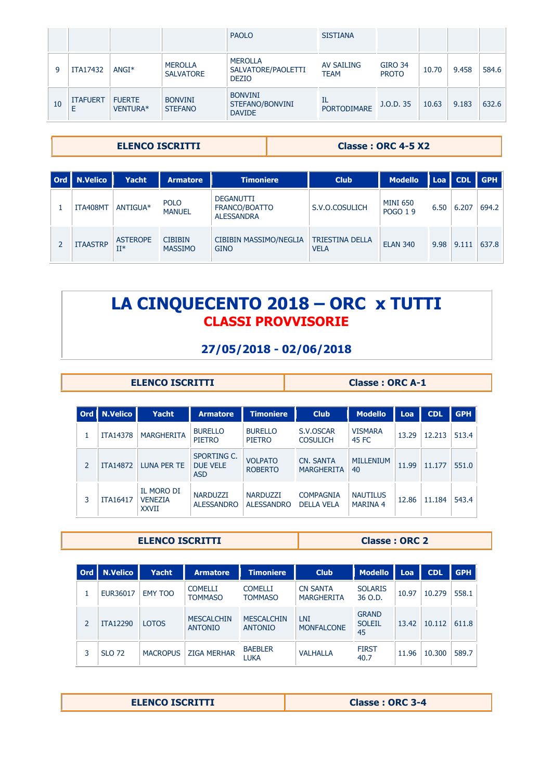|    |                 |                           |                                    | <b>PAOLO</b>                                         | <b>SISTIANA</b>                  |                                |       |       |       |
|----|-----------------|---------------------------|------------------------------------|------------------------------------------------------|----------------------------------|--------------------------------|-------|-------|-------|
| 9  | ITA17432        | $ANGI*$                   | <b>MEROLLA</b><br><b>SALVATORE</b> | <b>MEROLLA</b><br>SALVATORE/PAOLETTI<br><b>DEZIO</b> | <b>AV SAILING</b><br><b>TEAM</b> | <b>GIRO 34</b><br><b>PROTO</b> | 10.70 | 9.458 | 584.6 |
| 10 | <b>ITAFUERT</b> | <b>FUERTE</b><br>VENTURA* | <b>BONVINI</b><br><b>STEFANO</b>   | <b>BONVINI</b><br>STEFANO/BONVINI<br><b>DAVIDE</b>   | IL<br><b>PORTODIMARE</b>         | J.O.D. 35                      | 10.63 | 9.183 | 632.6 |

**ELENCO ISCRITTI** Classe : ORC 4-5 X2

| Ord   N.Velico  | <b>Yacht</b>              | <b>Armatore</b>                  | <b>Timoniere</b>                                       | <b>Club</b>                           | <b>Modello</b>                    |      | Loa   CDL | l GPH i |
|-----------------|---------------------------|----------------------------------|--------------------------------------------------------|---------------------------------------|-----------------------------------|------|-----------|---------|
| ITA408MT        | ANTIGUA*                  | <b>POLO</b><br><b>MANUEL</b>     | <b>DEGANUTTI</b><br>FRANCO/BOATTO<br><b>ALESSANDRA</b> | S.V.O.COSULICH                        | <b>MINI 650</b><br><b>POGO 19</b> | 6.50 | 6.207     | 694.2   |
| <b>ITAASTRP</b> | <b>ASTEROPE</b><br>$II^*$ | <b>CIBIBIN</b><br><b>MASSIMO</b> | <b>CIBIBIN MASSIMO/NEGLIA</b><br><b>GINO</b>           | <b>TRIESTINA DELLA</b><br><b>VELA</b> | <b>ELAN 340</b>                   | 9.98 | 9.111     | 637.8   |

# **LA CINQUECENTO 2018 – ORC x TUTTI CLASSI PROVVISORIE**

# **27/05/2018 - 02/06/2018**

### **ELENCO ISCRITTI** Classe : ORC A-1

|                | Ord   N.Velico  | Yacht                                               | <b>Armatore</b>                              | <b>Timoniere</b>                     | <b>Club</b>                           | <b>Modello</b>                     | Loa   | <b>CDL</b> | <b>GPH</b> |
|----------------|-----------------|-----------------------------------------------------|----------------------------------------------|--------------------------------------|---------------------------------------|------------------------------------|-------|------------|------------|
|                | <b>ITA14378</b> | <b>MARGHERITA</b>                                   | <b>BURELLO</b><br><b>PIETRO</b>              | <b>BURELLO</b><br><b>PIETRO</b>      | S.V.OSCAR<br><b>COSULICH</b>          | <b>VISMARA</b><br>45 FC            | 13.29 | 12.213     | 513.4      |
| $\overline{2}$ | <b>ITA14872</b> | LUNA PER TE                                         | SPORTING C.<br><b>DUE VELE</b><br><b>ASD</b> | <b>VOLPATO</b><br><b>ROBERTO</b>     | <b>CN. SANTA</b><br><b>MARGHERITA</b> | <b>MILLENIUM</b><br>40             | 11.99 | 11.177     | 551.0      |
| 3              | <b>ITA16417</b> | <b>IL MORO DI</b><br><b>VENEZIA</b><br><b>XXVII</b> | <b>NARDUZZI</b><br><b>ALESSANDRO</b>         | <b>NARDUZZI</b><br><b>ALESSANDRO</b> | <b>COMPAGNIA</b><br><b>DELLA VELA</b> | <b>NAUTILUS</b><br><b>MARINA 4</b> | 12.86 | 11.184     | 543.4      |

#### **ELENCO ISCRITTI** Classe : ORC 2

| l Ord | <b>N.Velico</b> | Yacht           | <b>Armatore</b>                     | <b>Timoniere</b>                    | <b>Club</b>                          | <b>Modello</b>                      | Loa   | <b>CDL</b> | <b>GPH</b> |
|-------|-----------------|-----------------|-------------------------------------|-------------------------------------|--------------------------------------|-------------------------------------|-------|------------|------------|
|       | EUR36017        | <b>EMY TOO</b>  | <b>COMELLI</b><br><b>TOMMASO</b>    | <b>COMELLI</b><br><b>TOMMASO</b>    | <b>CN SANTA</b><br><b>MARGHERITA</b> | <b>SOLARIS</b><br>36 O.D.           | 10.97 | 10.279     | 558.1      |
| 2     | <b>ITA12290</b> | <b>LOTOS</b>    | <b>MESCALCHIN</b><br><b>ANTONIO</b> | <b>MESCALCHIN</b><br><b>ANTONIO</b> | LNI<br><b>MONFALCONE</b>             | <b>GRAND</b><br><b>SOLEIL</b><br>45 | 13.42 | 10.112     | 611.8      |
| 3     | <b>SLO 72</b>   | <b>MACROPUS</b> | <b>ZIGA MERHAR</b>                  | <b>BAEBLER</b><br><b>LUKA</b>       | <b>VALHALLA</b>                      | <b>FIRST</b><br>40.7                | 11.96 | 10.300     | 589.7      |

|--|